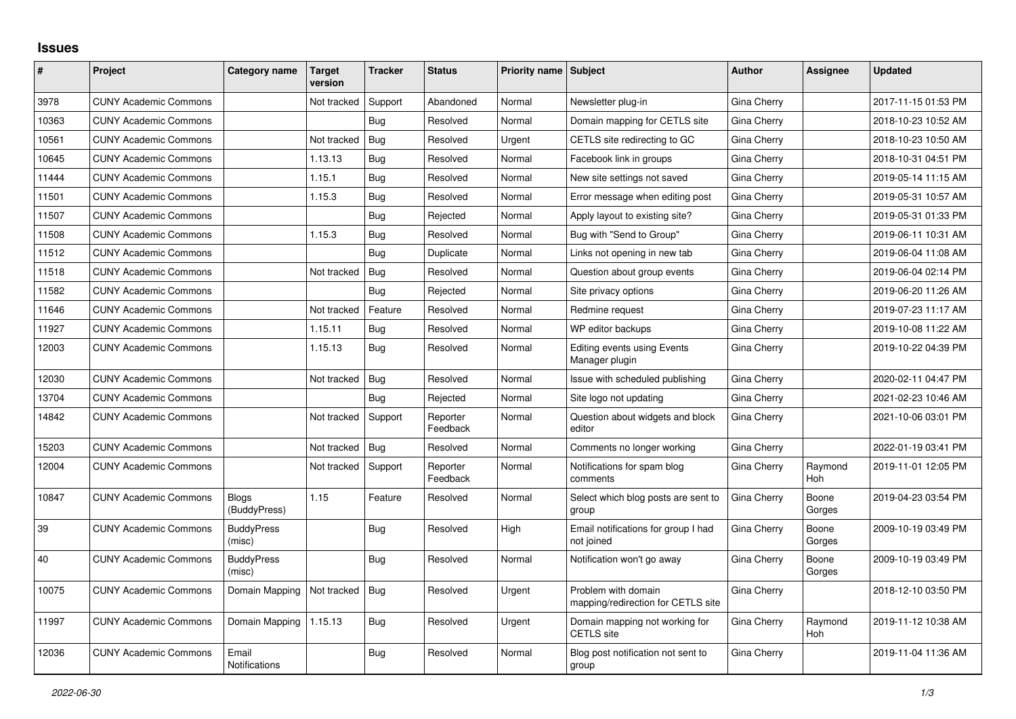## **Issues**

| #     | Project                      | Category name                 | Target<br>version | <b>Tracker</b> | <b>Status</b>        | <b>Priority name</b> | <b>Subject</b>                                            | <b>Author</b> | <b>Assignee</b> | <b>Updated</b>      |
|-------|------------------------------|-------------------------------|-------------------|----------------|----------------------|----------------------|-----------------------------------------------------------|---------------|-----------------|---------------------|
| 3978  | <b>CUNY Academic Commons</b> |                               | Not tracked       | Support        | Abandoned            | Normal               | Newsletter plug-in                                        | Gina Cherry   |                 | 2017-11-15 01:53 PM |
| 10363 | <b>CUNY Academic Commons</b> |                               |                   | Bug            | Resolved             | Normal               | Domain mapping for CETLS site                             | Gina Cherry   |                 | 2018-10-23 10:52 AM |
| 10561 | <b>CUNY Academic Commons</b> |                               | Not tracked       | Bug            | Resolved             | Urgent               | CETLS site redirecting to GC                              | Gina Cherry   |                 | 2018-10-23 10:50 AM |
| 10645 | <b>CUNY Academic Commons</b> |                               | 1.13.13           | Bug            | Resolved             | Normal               | Facebook link in groups                                   | Gina Cherry   |                 | 2018-10-31 04:51 PM |
| 11444 | <b>CUNY Academic Commons</b> |                               | 1.15.1            | Bug            | Resolved             | Normal               | New site settings not saved                               | Gina Cherry   |                 | 2019-05-14 11:15 AM |
| 11501 | <b>CUNY Academic Commons</b> |                               | 1.15.3            | <b>Bug</b>     | Resolved             | Normal               | Error message when editing post                           | Gina Cherry   |                 | 2019-05-31 10:57 AM |
| 11507 | <b>CUNY Academic Commons</b> |                               |                   | Bug            | Rejected             | Normal               | Apply layout to existing site?                            | Gina Cherry   |                 | 2019-05-31 01:33 PM |
| 11508 | <b>CUNY Academic Commons</b> |                               | 1.15.3            | Bug            | Resolved             | Normal               | Bug with "Send to Group"                                  | Gina Cherry   |                 | 2019-06-11 10:31 AM |
| 11512 | <b>CUNY Academic Commons</b> |                               |                   | Bug            | Duplicate            | Normal               | Links not opening in new tab                              | Gina Cherry   |                 | 2019-06-04 11:08 AM |
| 11518 | <b>CUNY Academic Commons</b> |                               | Not tracked       | Bug            | Resolved             | Normal               | Question about group events                               | Gina Cherry   |                 | 2019-06-04 02:14 PM |
| 11582 | <b>CUNY Academic Commons</b> |                               |                   | Bug            | Rejected             | Normal               | Site privacy options                                      | Gina Cherry   |                 | 2019-06-20 11:26 AM |
| 11646 | <b>CUNY Academic Commons</b> |                               | Not tracked       | Feature        | Resolved             | Normal               | Redmine request                                           | Gina Cherry   |                 | 2019-07-23 11:17 AM |
| 11927 | <b>CUNY Academic Commons</b> |                               | 1.15.11           | Bug            | Resolved             | Normal               | WP editor backups                                         | Gina Cherry   |                 | 2019-10-08 11:22 AM |
| 12003 | <b>CUNY Academic Commons</b> |                               | 1.15.13           | Bug            | Resolved             | Normal               | Editing events using Events<br>Manager plugin             | Gina Cherry   |                 | 2019-10-22 04:39 PM |
| 12030 | <b>CUNY Academic Commons</b> |                               | Not tracked       | Bug            | Resolved             | Normal               | Issue with scheduled publishing                           | Gina Cherry   |                 | 2020-02-11 04:47 PM |
| 13704 | <b>CUNY Academic Commons</b> |                               |                   | Bug            | Rejected             | Normal               | Site logo not updating                                    | Gina Cherry   |                 | 2021-02-23 10:46 AM |
| 14842 | <b>CUNY Academic Commons</b> |                               | Not tracked       | Support        | Reporter<br>Feedback | Normal               | Question about widgets and block<br>editor                | Gina Cherry   |                 | 2021-10-06 03:01 PM |
| 15203 | <b>CUNY Academic Commons</b> |                               | Not tracked       | Bug            | Resolved             | Normal               | Comments no longer working                                | Gina Cherry   |                 | 2022-01-19 03:41 PM |
| 12004 | <b>CUNY Academic Commons</b> |                               | Not tracked       | Support        | Reporter<br>Feedback | Normal               | Notifications for spam blog<br>comments                   | Gina Cherry   | Raymond<br>Hoh  | 2019-11-01 12:05 PM |
| 10847 | <b>CUNY Academic Commons</b> | Blogs<br>(BuddyPress)         | 1.15              | Feature        | Resolved             | Normal               | Select which blog posts are sent to<br>group              | Gina Cherry   | Boone<br>Gorges | 2019-04-23 03:54 PM |
| 39    | <b>CUNY Academic Commons</b> | <b>BuddyPress</b><br>(misc)   |                   | Bug            | Resolved             | High                 | Email notifications for group I had<br>not joined         | Gina Cherry   | Boone<br>Gorges | 2009-10-19 03:49 PM |
| 40    | <b>CUNY Academic Commons</b> | <b>BuddyPress</b><br>(misc)   |                   | Bug            | Resolved             | Normal               | Notification won't go away                                | Gina Cherry   | Boone<br>Gorges | 2009-10-19 03:49 PM |
| 10075 | <b>CUNY Academic Commons</b> | Domain Mapping                | Not tracked       | Bug            | Resolved             | Urgent               | Problem with domain<br>mapping/redirection for CETLS site | Gina Cherry   |                 | 2018-12-10 03:50 PM |
| 11997 | <b>CUNY Academic Commons</b> | Domain Mapping                | 1.15.13           | Bug            | Resolved             | Urgent               | Domain mapping not working for<br><b>CETLS</b> site       | Gina Cherry   | Raymond<br>Hoh  | 2019-11-12 10:38 AM |
| 12036 | <b>CUNY Academic Commons</b> | Email<br><b>Notifications</b> |                   | Bug            | Resolved             | Normal               | Blog post notification not sent to<br>group               | Gina Cherry   |                 | 2019-11-04 11:36 AM |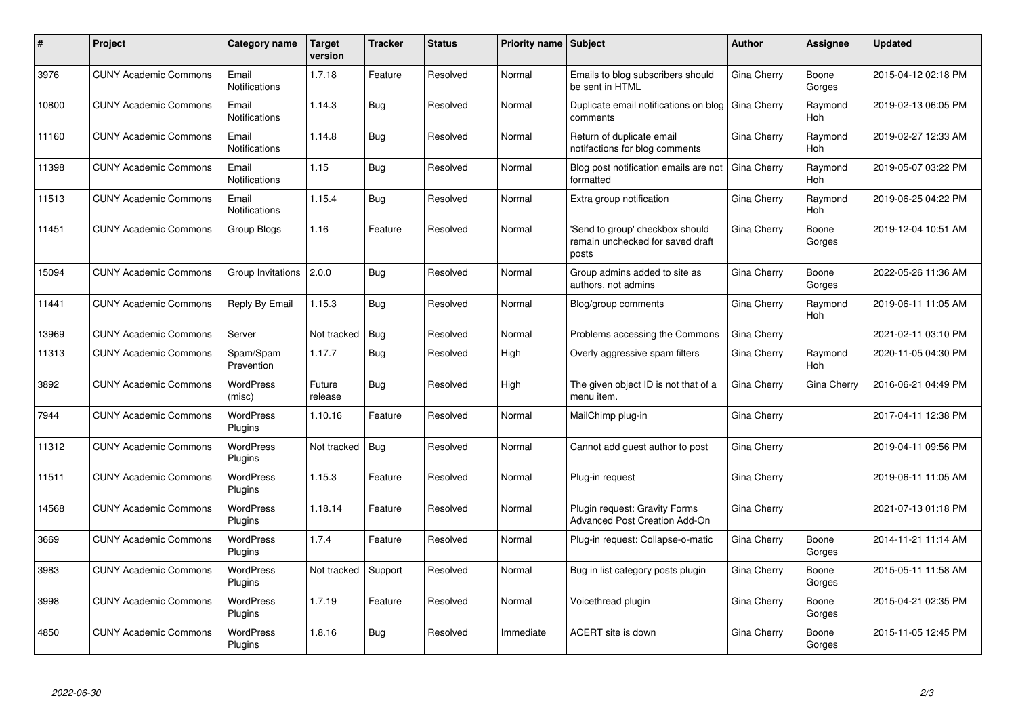| #     | Project                      | <b>Category name</b>          | <b>Target</b><br>version | Tracker    | <b>Status</b> | <b>Priority name</b> | <b>Subject</b>                                                               | Author             | Assignee        | <b>Updated</b>      |
|-------|------------------------------|-------------------------------|--------------------------|------------|---------------|----------------------|------------------------------------------------------------------------------|--------------------|-----------------|---------------------|
| 3976  | <b>CUNY Academic Commons</b> | Email<br><b>Notifications</b> | 1.7.18                   | Feature    | Resolved      | Normal               | Emails to blog subscribers should<br>be sent in HTML                         | Gina Cherry        | Boone<br>Gorges | 2015-04-12 02:18 PM |
| 10800 | <b>CUNY Academic Commons</b> | Email<br><b>Notifications</b> | 1.14.3                   | Bug        | Resolved      | Normal               | Duplicate email notifications on blog<br>comments                            | Gina Cherry        | Raymond<br>Hoh  | 2019-02-13 06:05 PM |
| 11160 | <b>CUNY Academic Commons</b> | Email<br>Notifications        | 1.14.8                   | Bug        | Resolved      | Normal               | Return of duplicate email<br>notifactions for blog comments                  | Gina Cherry        | Raymond<br>Hoh  | 2019-02-27 12:33 AM |
| 11398 | <b>CUNY Academic Commons</b> | Email<br>Notifications        | 1.15                     | Bug        | Resolved      | Normal               | Blog post notification emails are not<br>formatted                           | Gina Cherry        | Raymond<br>Hoh  | 2019-05-07 03:22 PM |
| 11513 | <b>CUNY Academic Commons</b> | Email<br><b>Notifications</b> | 1.15.4                   | <b>Bug</b> | Resolved      | Normal               | Extra group notification                                                     | Gina Cherry        | Raymond<br>Hoh  | 2019-06-25 04:22 PM |
| 11451 | <b>CUNY Academic Commons</b> | Group Blogs                   | 1.16                     | Feature    | Resolved      | Normal               | 'Send to group' checkbox should<br>remain unchecked for saved draft<br>posts | Gina Cherry        | Boone<br>Gorges | 2019-12-04 10:51 AM |
| 15094 | <b>CUNY Academic Commons</b> | Group Invitations             | 2.0.0                    | Bug        | Resolved      | Normal               | Group admins added to site as<br>authors, not admins                         | Gina Cherry        | Boone<br>Gorges | 2022-05-26 11:36 AM |
| 11441 | <b>CUNY Academic Commons</b> | Reply By Email                | 1.15.3                   | <b>Bug</b> | Resolved      | Normal               | Blog/group comments                                                          | <b>Gina Cherry</b> | Raymond<br>Hoh  | 2019-06-11 11:05 AM |
| 13969 | <b>CUNY Academic Commons</b> | Server                        | Not tracked              | Bug        | Resolved      | Normal               | Problems accessing the Commons                                               | Gina Cherry        |                 | 2021-02-11 03:10 PM |
| 11313 | <b>CUNY Academic Commons</b> | Spam/Spam<br>Prevention       | 1.17.7                   | <b>Bug</b> | Resolved      | High                 | Overly aggressive spam filters                                               | Gina Cherry        | Raymond<br>Hoh  | 2020-11-05 04:30 PM |
| 3892  | <b>CUNY Academic Commons</b> | <b>WordPress</b><br>(misc)    | Future<br>release        | <b>Bug</b> | Resolved      | High                 | The given object ID is not that of a<br>menu item.                           | Gina Cherry        | Gina Cherry     | 2016-06-21 04:49 PM |
| 7944  | <b>CUNY Academic Commons</b> | <b>WordPress</b><br>Plugins   | 1.10.16                  | Feature    | Resolved      | Normal               | MailChimp plug-in                                                            | Gina Cherry        |                 | 2017-04-11 12:38 PM |
| 11312 | <b>CUNY Academic Commons</b> | <b>WordPress</b><br>Plugins   | Not tracked              | <b>Bug</b> | Resolved      | Normal               | Cannot add guest author to post                                              | Gina Cherry        |                 | 2019-04-11 09:56 PM |
| 11511 | <b>CUNY Academic Commons</b> | <b>WordPress</b><br>Plugins   | 1.15.3                   | Feature    | Resolved      | Normal               | Plug-in request                                                              | Gina Cherry        |                 | 2019-06-11 11:05 AM |
| 14568 | <b>CUNY Academic Commons</b> | <b>WordPress</b><br>Plugins   | 1.18.14                  | Feature    | Resolved      | Normal               | Plugin request: Gravity Forms<br>Advanced Post Creation Add-On               | Gina Cherry        |                 | 2021-07-13 01:18 PM |
| 3669  | <b>CUNY Academic Commons</b> | WordPress<br>Plugins          | 1.7.4                    | Feature    | Resolved      | Normal               | Plug-in request: Collapse-o-matic                                            | Gina Cherry        | Boone<br>Gorges | 2014-11-21 11:14 AM |
| 3983  | <b>CUNY Academic Commons</b> | WordPress<br>Plugins          | Not tracked              | Support    | Resolved      | Normal               | Bug in list category posts plugin                                            | Gina Cherry        | Boone<br>Gorges | 2015-05-11 11:58 AM |
| 3998  | <b>CUNY Academic Commons</b> | WordPress<br>Plugins          | 1.7.19                   | Feature    | Resolved      | Normal               | Voicethread plugin                                                           | Gina Cherry        | Boone<br>Gorges | 2015-04-21 02:35 PM |
| 4850  | <b>CUNY Academic Commons</b> | <b>WordPress</b><br>Plugins   | 1.8.16                   | <b>Bug</b> | Resolved      | Immediate            | ACERT site is down                                                           | Gina Cherry        | Boone<br>Gorges | 2015-11-05 12:45 PM |